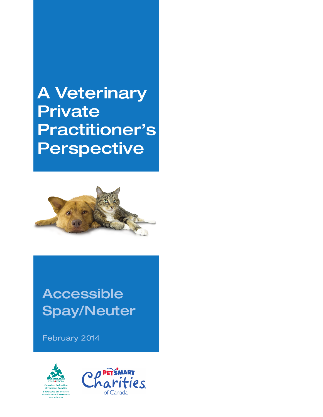A Veterinary **Private** Practitioner's Perspective



# Accessible Spay/Neuter

February 2014



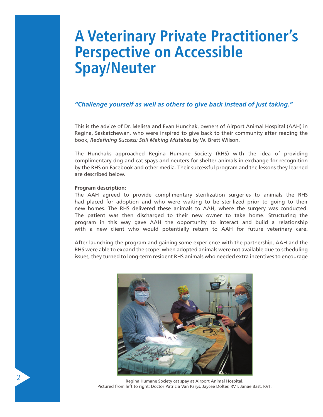## **A Veterinary Private Practitioner's Perspective on Accessible Spay/Neuter**

## *"Challenge yourself as well as others to give back instead of just taking."*

This is the advice of Dr. Melissa and Evan Hunchak, owners of Airport Animal Hospital (AAH) in Regina, Saskatchewan, who were inspired to give back to their community after reading the book, *Redefining Success: Still Making Mistakes* by W. Brett Wilson.

The Hunchaks approached Regina Humane Society (RHS) with the idea of providing complimentary dog and cat spays and neuters for shelter animals in exchange for recognition by the RHS on Facebook and other media. Their successful program and the lessons they learned are described below.

## **Program description:**

The AAH agreed to provide complimentary sterilization surgeries to animals the RHS had placed for adoption and who were waiting to be sterilized prior to going to their new homes. The RHS delivered these animals to AAH, where the surgery was conducted. The patient was then discharged to their new owner to take home. Structuring the program in this way gave AAH the opportunity to interact and build a relationship with a new client who would potentially return to AAH for future veterinary care.

After launching the program and gaining some experience with the partnership, AAH and the RHS were able to expand the scope: when adopted animals were not available due to scheduling issues, they turned to long-term resident RHS animals who needed extra incentives to encourage



Regina Humane Society cat spay at Airport Animal Hospital. Pictured from left to right: Doctor Patricia Van Parys, Jaycee Dolter, RVT, Janae Bast, RVT.

2